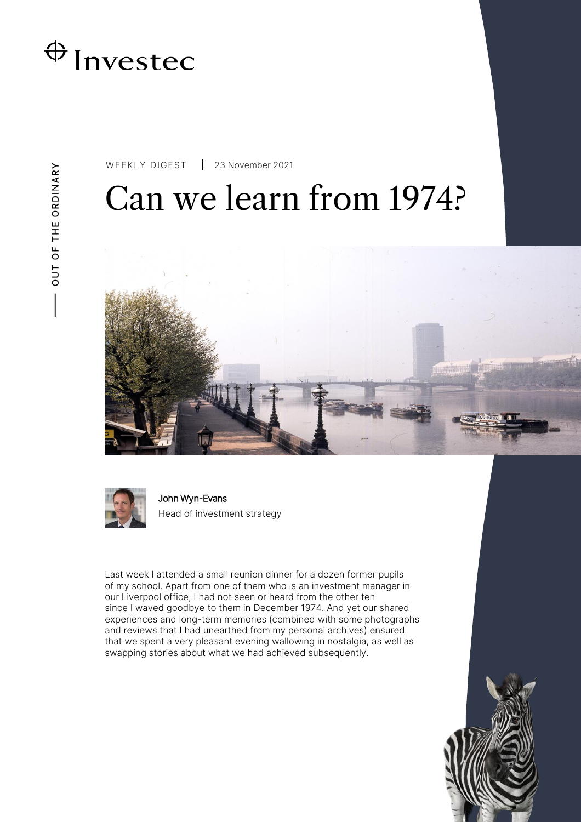

WEEKLY DIGEST 23 November 2021

# Can we learn from 1974?





John Wyn-Evans Head of investment strategy

Last week I attended a small reunion dinner for a dozen former pupils of my school. Apart from one of them who is an investment manager in our Liverpool office, I had not seen or heard from the other ten since I waved goodbye to them in December 1974. And yet our shared experiences and long-term memories (combined with some photographs and reviews that I had unearthed from my personal archives) ensured that we spent a very pleasant evening wallowing in nostalgia, as well as swapping stories about what we had achieved subsequently.

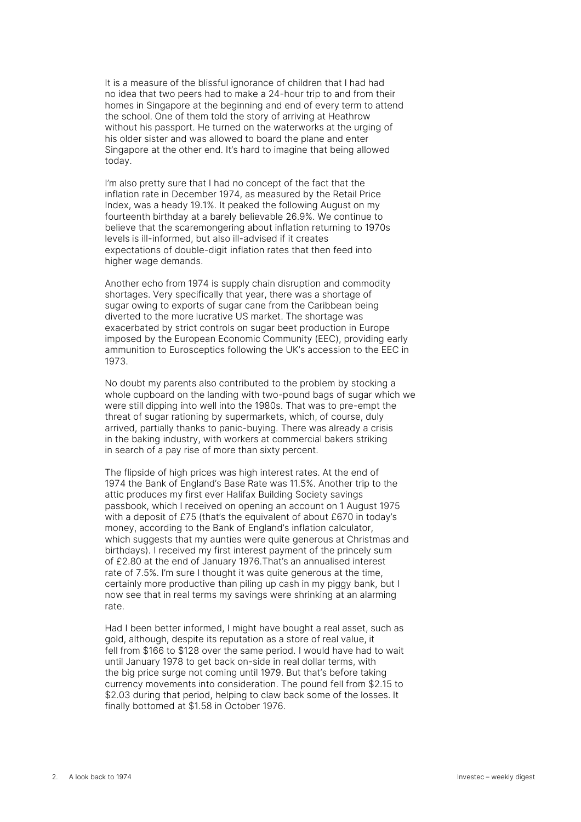It is a measure of the blissful ignorance of children that I had had no idea that two peers had to make a 24-hour trip to and from their homes in Singapore at the beginning and end of every term to attend the school. One of them told the story of arriving at Heathrow without his passport. He turned on the waterworks at the urging of his older sister and was allowed to board the plane and enter Singapore at the other end. It's hard to imagine that being allowed today.

I'm also pretty sure that I had no concept of the fact that the inflation rate in December 1974, as measured by the Retail Price Index, was a heady 19.1%. It peaked the following August on my fourteenth birthday at a barely believable 26.9%. We continue to believe that the scaremongering about inflation returning to 1970s levels is ill-informed, but also ill-advised if it creates expectations of double-digit inflation rates that then feed into higher wage demands.

Another echo from 1974 is supply chain disruption and commodity shortages. Very specifically that year, there was a shortage of sugar owing to exports of sugar cane from the Caribbean being diverted to the more lucrative US market. The shortage was exacerbated by strict controls on sugar beet production in Europe imposed by the European Economic Community (EEC), providing early ammunition to Eurosceptics following the UK's accession to the EEC in 1973.

No doubt my parents also contributed to the problem by stocking a whole cupboard on the landing with two-pound bags of sugar which we were still dipping into well into the 1980s. That was to pre-empt the threat of sugar rationing by supermarkets, which, of course, duly arrived, partially thanks to panic-buying. There was already a crisis in the baking industry, with workers at commercial bakers striking in search of a pay rise of more than sixty percent.

The flipside of high prices was high interest rates. At the end of 1974 the Bank of England's Base Rate was 11.5%. Another trip to the attic produces my first ever Halifax Building Society savings passbook, which I received on opening an account on 1 August 1975 with a deposit of £75 (that's the equivalent of about £670 in today's money, according to the Bank of England's inflation calculator, which suggests that my aunties were quite generous at Christmas and birthdays). I received my first interest payment of the princely sum of £2.80 at the end of January 1976.That's an annualised interest rate of 7.5%. I'm sure I thought it was quite generous at the time, certainly more productive than piling up cash in my piggy bank, but I now see that in real terms my savings were shrinking at an alarming rate.

Had I been better informed, I might have bought a real asset, such as gold, although, despite its reputation as a store of real value, it fell from \$166 to \$128 over the same period. I would have had to wait until January 1978 to get back on-side in real dollar terms, with the big price surge not coming until 1979. But that's before taking currency movements into consideration. The pound fell from \$2.15 to \$2.03 during that period, helping to claw back some of the losses. It finally bottomed at \$1.58 in October 1976.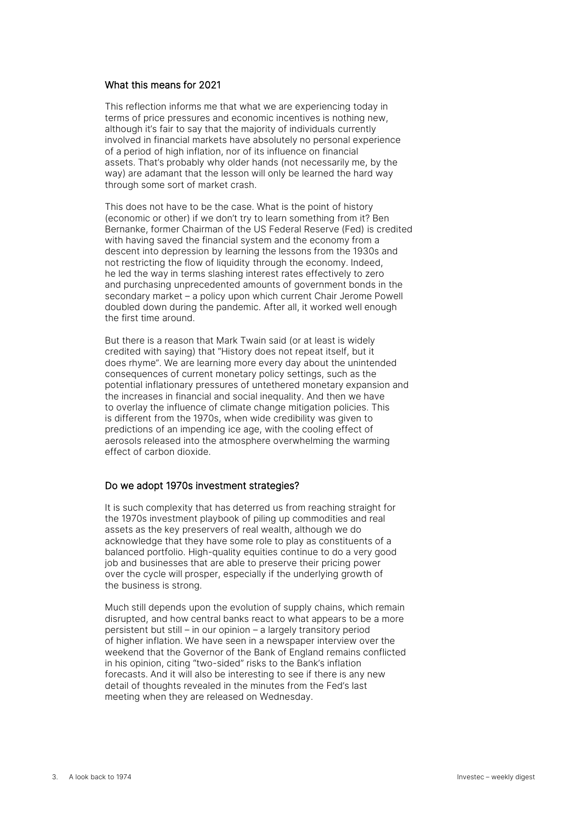#### What this means for 2021

This reflection informs me that what we are experiencing today in terms of price pressures and economic incentives is nothing new, although it's fair to say that the majority of individuals currently involved in financial markets have absolutely no personal experience of a period of high inflation, nor of its influence on financial assets. That's probably why older hands (not necessarily me, by the way) are adamant that the lesson will only be learned the hard way through some sort of market crash.

This does not have to be the case. What is the point of history (economic or other) if we don't try to learn something from it? Ben Bernanke, former Chairman of the US Federal Reserve (Fed) is credited with having saved the financial system and the economy from a descent into depression by learning the lessons from the 1930s and not restricting the flow of liquidity through the economy. Indeed, he led the way in terms slashing interest rates effectively to zero and purchasing unprecedented amounts of government bonds in the secondary market – a policy upon which current Chair Jerome Powell doubled down during the pandemic. After all, it worked well enough the first time around.

But there is a reason that Mark Twain said (or at least is widely credited with saying) that "History does not repeat itself, but it does rhyme". We are learning more every day about the unintended consequences of current monetary policy settings, such as the potential inflationary pressures of untethered monetary expansion and the increases in financial and social inequality. And then we have to overlay the influence of climate change mitigation policies. This is different from the 1970s, when wide credibility was given to predictions of an impending ice age, with the cooling effect of aerosols released into the atmosphere overwhelming the warming effect of carbon dioxide.

#### Do we adopt 1970s investment strategies?

It is such complexity that has deterred us from reaching straight for the 1970s investment playbook of piling up commodities and real assets as the key preservers of real wealth, although we do acknowledge that they have some role to play as constituents of a balanced portfolio. High-quality equities continue to do a very good job and businesses that are able to preserve their pricing power over the cycle will prosper, especially if the underlying growth of the business is strong.

Much still depends upon the evolution of supply chains, which remain disrupted, and how central banks react to what appears to be a more persistent but still – in our opinion – a largely transitory period of higher inflation. We have seen in a newspaper interview over the weekend that the Governor of the Bank of England remains conflicted in his opinion, citing "two-sided" risks to the Bank's inflation forecasts. And it will also be interesting to see if there is any new detail of thoughts revealed in the minutes from the Fed's last meeting when they are released on Wednesday.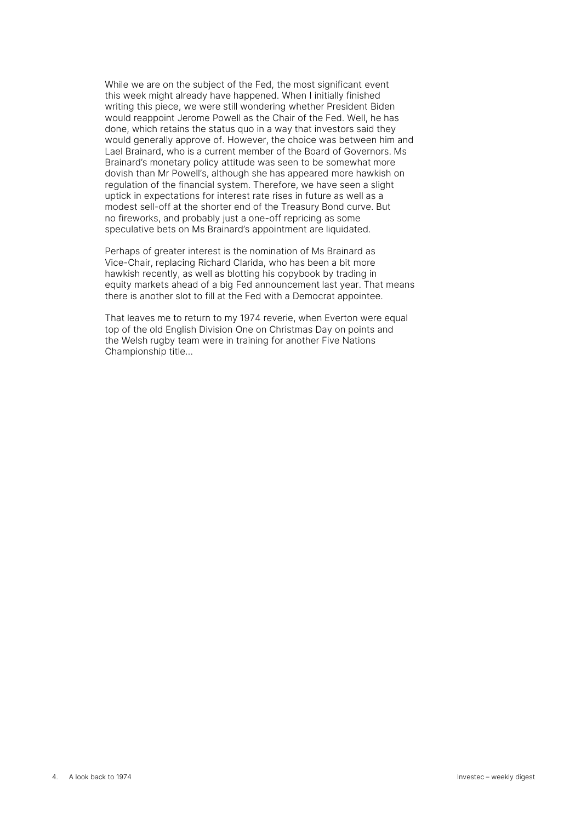While we are on the subject of the Fed, the most significant event this week might already have happened. When I initially finished writing this piece, we were still wondering whether President Biden would reappoint Jerome Powell as the Chair of the Fed. Well, he has done, which retains the status quo in a way that investors said they would generally approve of. However, the choice was between him and Lael Brainard, who is a current member of the Board of Governors. Ms Brainard's monetary policy attitude was seen to be somewhat more dovish than Mr Powell's, although she has appeared more hawkish on regulation of the financial system. Therefore, we have seen a slight uptick in expectations for interest rate rises in future as well as a modest sell-off at the shorter end of the Treasury Bond curve. But no fireworks, and probably just a one-off repricing as some speculative bets on Ms Brainard's appointment are liquidated.

Perhaps of greater interest is the nomination of Ms Brainard as Vice-Chair, replacing Richard Clarida, who has been a bit more hawkish recently, as well as blotting his copybook by trading in equity markets ahead of a big Fed announcement last year. That means there is another slot to fill at the Fed with a Democrat appointee.

That leaves me to return to my 1974 reverie, when Everton were equal top of the old English Division One on Christmas Day on points and the Welsh rugby team were in training for another Five Nations Championship title…